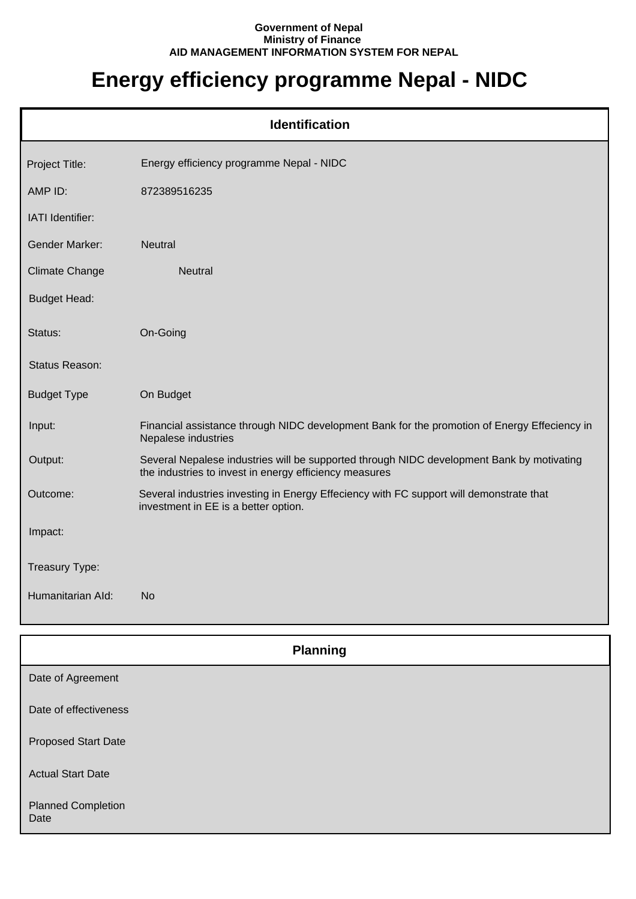## **Government of Nepal Ministry of Finance AID MANAGEMENT INFORMATION SYSTEM FOR NEPAL**

## **Energy efficiency programme Nepal - NIDC**

|                       | <b>Identification</b>                                                                                                                               |
|-----------------------|-----------------------------------------------------------------------------------------------------------------------------------------------------|
| Project Title:        | Energy efficiency programme Nepal - NIDC                                                                                                            |
| AMP ID:               | 872389516235                                                                                                                                        |
| IATI Identifier:      |                                                                                                                                                     |
| <b>Gender Marker:</b> | <b>Neutral</b>                                                                                                                                      |
| <b>Climate Change</b> | <b>Neutral</b>                                                                                                                                      |
| <b>Budget Head:</b>   |                                                                                                                                                     |
| Status:               | On-Going                                                                                                                                            |
| Status Reason:        |                                                                                                                                                     |
| <b>Budget Type</b>    | On Budget                                                                                                                                           |
| Input:                | Financial assistance through NIDC development Bank for the promotion of Energy Effeciency in<br>Nepalese industries                                 |
| Output:               | Several Nepalese industries will be supported through NIDC development Bank by motivating<br>the industries to invest in energy efficiency measures |
| Outcome:              | Several industries investing in Energy Effeciency with FC support will demonstrate that<br>investment in EE is a better option.                     |
| Impact:               |                                                                                                                                                     |
| Treasury Type:        |                                                                                                                                                     |
| Humanitarian Ald:     | <b>No</b>                                                                                                                                           |

| <b>Planning</b>                   |
|-----------------------------------|
| Date of Agreement                 |
| Date of effectiveness             |
| <b>Proposed Start Date</b>        |
| <b>Actual Start Date</b>          |
| <b>Planned Completion</b><br>Date |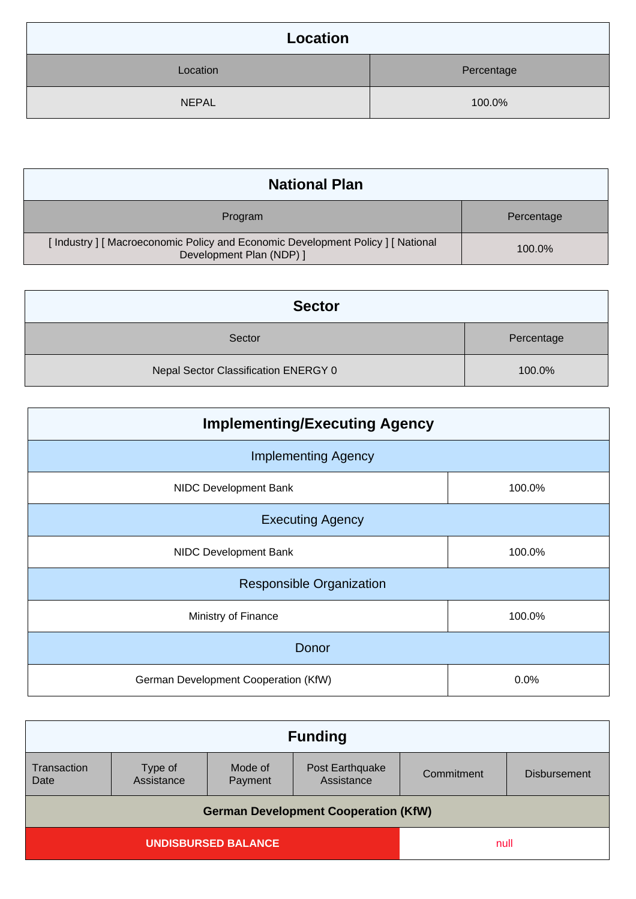| Location     |            |
|--------------|------------|
| Location     | Percentage |
| <b>NEPAL</b> | 100.0%     |

| <b>National Plan</b>                                                                                        |            |
|-------------------------------------------------------------------------------------------------------------|------------|
| Program                                                                                                     | Percentage |
| [Industry ] [ Macroeconomic Policy and Economic Development Policy ] [ National<br>Development Plan (NDP) ] | 100.0%     |

| <b>Sector</b>                        |            |
|--------------------------------------|------------|
| Sector                               | Percentage |
| Nepal Sector Classification ENERGY 0 | 100.0%     |

| <b>Implementing/Executing Agency</b> |        |  |
|--------------------------------------|--------|--|
| <b>Implementing Agency</b>           |        |  |
| NIDC Development Bank                | 100.0% |  |
| <b>Executing Agency</b>              |        |  |
| NIDC Development Bank                | 100.0% |  |
| <b>Responsible Organization</b>      |        |  |
| Ministry of Finance                  | 100.0% |  |
| Donor                                |        |  |
| German Development Cooperation (KfW) | 0.0%   |  |

| <b>Funding</b>                              |                       |                    |                               |            |                     |
|---------------------------------------------|-----------------------|--------------------|-------------------------------|------------|---------------------|
| Transaction<br>Date                         | Type of<br>Assistance | Mode of<br>Payment | Post Earthquake<br>Assistance | Commitment | <b>Disbursement</b> |
| <b>German Development Cooperation (KfW)</b> |                       |                    |                               |            |                     |
| <b>UNDISBURSED BALANCE</b>                  |                       | null               |                               |            |                     |
|                                             |                       |                    |                               |            |                     |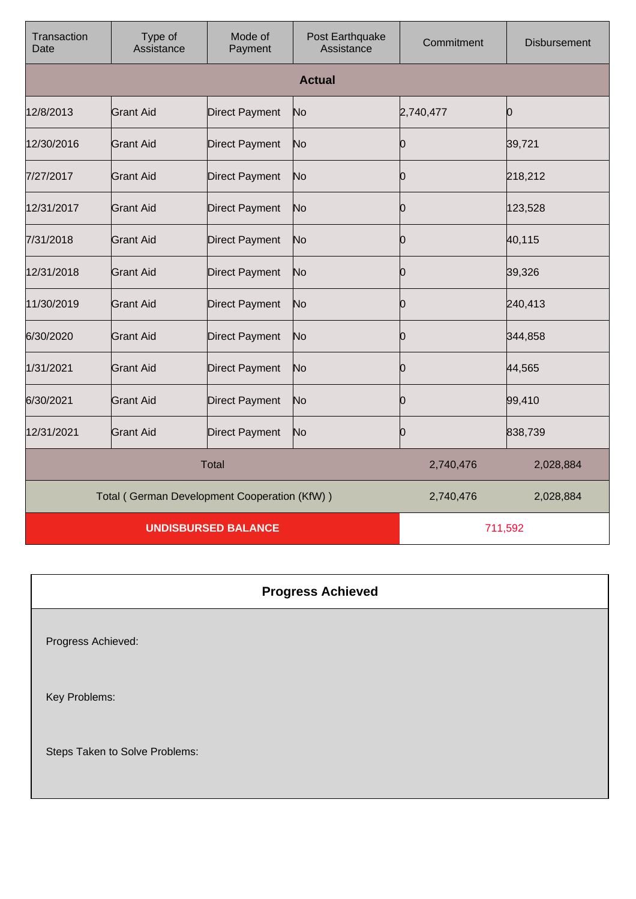| Transaction<br>Date | Type of<br>Assistance                        | Mode of<br>Payment    | Post Earthquake<br>Assistance | Commitment | <b>Disbursement</b> |
|---------------------|----------------------------------------------|-----------------------|-------------------------------|------------|---------------------|
|                     |                                              |                       | <b>Actual</b>                 |            |                     |
| 12/8/2013           | Grant Aid                                    | <b>Direct Payment</b> | No                            | 2,740,477  | Ю                   |
| 12/30/2016          | <b>Grant Aid</b>                             | <b>Direct Payment</b> | No                            | 10         | 39,721              |
| 7/27/2017           | <b>Grant Aid</b>                             | <b>Direct Payment</b> | No                            | Ю          | 218,212             |
| 12/31/2017          | <b>Grant Aid</b>                             | <b>Direct Payment</b> | No                            | 0          | 123,528             |
| 7/31/2018           | <b>Grant Aid</b>                             | <b>Direct Payment</b> | No                            | 10         | 40,115              |
| 12/31/2018          | Grant Aid                                    | <b>Direct Payment</b> | No                            | 10         | 39,326              |
| 11/30/2019          | <b>Grant Aid</b>                             | <b>Direct Payment</b> | No                            | 0          | 240,413             |
| 6/30/2020           | <b>Grant Aid</b>                             | <b>Direct Payment</b> | No                            | 10         | 344,858             |
| 1/31/2021           | <b>Grant Aid</b>                             | <b>Direct Payment</b> | No                            | 10         | 44,565              |
| 6/30/2021           | Grant Aid                                    | <b>Direct Payment</b> | No                            | 0          | 99,410              |
| 12/31/2021          | <b>Grant Aid</b>                             | <b>Direct Payment</b> | No                            | Ю          | 838,739             |
|                     |                                              | <b>Total</b>          |                               | 2,740,476  | 2,028,884           |
|                     | Total (German Development Cooperation (KfW)) |                       |                               | 2,740,476  | 2,028,884           |
|                     | <b>UNDISBURSED BALANCE</b>                   |                       |                               | 711,592    |                     |

| <b>Progress Achieved</b> |  |  |
|--------------------------|--|--|
|--------------------------|--|--|

Progress Achieved:

Key Problems:

Steps Taken to Solve Problems: